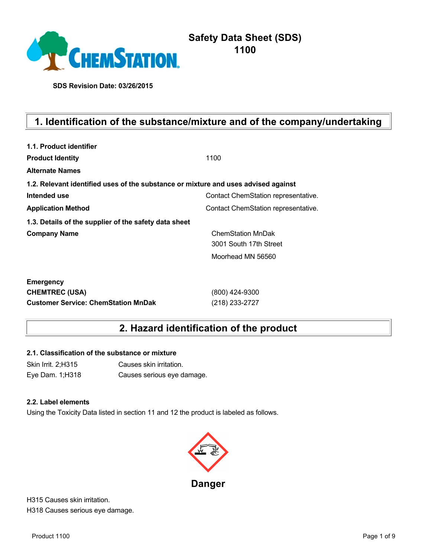

**SDS Revision Date: 03/26/2015**

# **1. Identification of the substance/mixture and of the company/undertaking**

| 1.1. Product identifier                                                            |                                     |
|------------------------------------------------------------------------------------|-------------------------------------|
| <b>Product Identity</b>                                                            | 1100                                |
| <b>Alternate Names</b>                                                             |                                     |
| 1.2. Relevant identified uses of the substance or mixture and uses advised against |                                     |
| Intended use                                                                       | Contact ChemStation representative. |
| <b>Application Method</b>                                                          | Contact ChemStation representative. |
| 1.3. Details of the supplier of the safety data sheet                              |                                     |
| <b>Company Name</b>                                                                | <b>ChemStation MnDak</b>            |
|                                                                                    | 3001 South 17th Street              |
|                                                                                    | Moorhead MN 56560                   |
| <b>Emergency</b>                                                                   |                                     |
| <b>CHEMTREC (USA)</b>                                                              | (800) 424-9300                      |
| <b>Customer Service: ChemStation MnDak</b>                                         | (218) 233-2727                      |

# **2. Hazard identification of the product**

#### **2.1. Classification of the substance or mixture**

Skin Irrit. 2;H315 Causes skin irritation. Eye Dam. 1;H318 Causes serious eye damage.

#### **2.2. Label elements**

Using the Toxicity Data listed in section 11 and 12 the product is labeled as follows.



H315 Causes skin irritation. H318 Causes serious eye damage.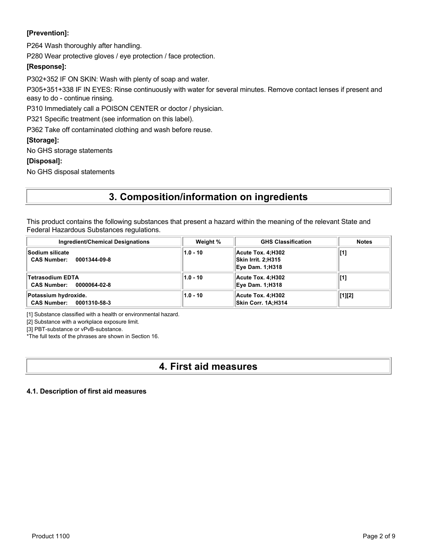### **[Prevention]:**

P264 Wash thoroughly after handling.

P280 Wear protective gloves / eye protection / face protection.

### **[Response]:**

P302+352 IF ON SKIN: Wash with plenty of soap and water.

P305+351+338 IF IN EYES: Rinse continuously with water for several minutes. Remove contact lenses if present and easy to do - continue rinsing.

P310 Immediately call a POISON CENTER or doctor / physician.

P321 Specific treatment (see information on this label).

P362 Take off contaminated clothing and wash before reuse.

#### **[Storage]:**

No GHS storage statements

#### **[Disposal]:**

No GHS disposal statements

# **3. Composition/information on ingredients**

This product contains the following substances that present a hazard within the meaning of the relevant State and Federal Hazardous Substances regulations.

| <b>Ingredient/Chemical Designations</b>                | Weight %   | <b>GHS Classification</b>                                         | <b>Notes</b>   |
|--------------------------------------------------------|------------|-------------------------------------------------------------------|----------------|
| ∣Sodium silicate<br><b>CAS Number:</b><br>0001344-09-8 | $1.0 - 10$ | Acute Tox. 4:H302<br>Skin Irrit. 2;H315<br><b>Eye Dam. 1;H318</b> | [1]            |
| Tetrasodium EDTA<br><b>CAS Number:</b><br>0000064-02-8 | $1.0 - 10$ | Acute Tox. 4:H302<br><b>Eye Dam. 1;H318</b>                       | [1]            |
| Potassium hydroxide.<br>CAS Number: 0001310-58-3       | $1.0 - 10$ | Acute Tox. 4:H302<br>Skin Corr. 1A:H314                           | $\vert$ [1][2] |

[1] Substance classified with a health or environmental hazard.

[2] Substance with a workplace exposure limit.

[3] PBT-substance or vPvB-substance.

\*The full texts of the phrases are shown in Section 16.

## **4. First aid measures**

#### **4.1. Description of first aid measures**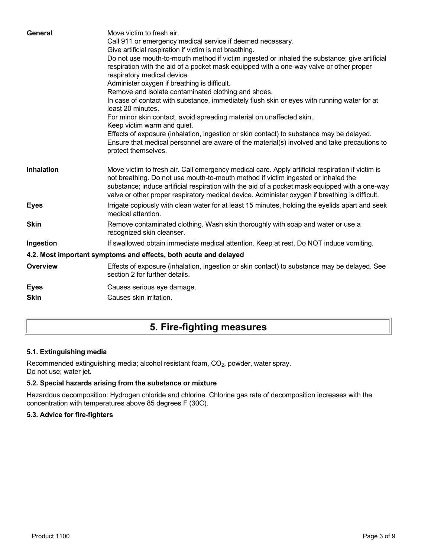| General           | Move victim to fresh air.<br>Call 911 or emergency medical service if deemed necessary.<br>Give artificial respiration if victim is not breathing.<br>Do not use mouth-to-mouth method if victim ingested or inhaled the substance; give artificial<br>respiration with the aid of a pocket mask equipped with a one-way valve or other proper<br>respiratory medical device.<br>Administer oxygen if breathing is difficult.<br>Remove and isolate contaminated clothing and shoes.<br>In case of contact with substance, immediately flush skin or eyes with running water for at<br>least 20 minutes.<br>For minor skin contact, avoid spreading material on unaffected skin.<br>Keep victim warm and quiet.<br>Effects of exposure (inhalation, ingestion or skin contact) to substance may be delayed.<br>Ensure that medical personnel are aware of the material(s) involved and take precautions to<br>protect themselves. |
|-------------------|-----------------------------------------------------------------------------------------------------------------------------------------------------------------------------------------------------------------------------------------------------------------------------------------------------------------------------------------------------------------------------------------------------------------------------------------------------------------------------------------------------------------------------------------------------------------------------------------------------------------------------------------------------------------------------------------------------------------------------------------------------------------------------------------------------------------------------------------------------------------------------------------------------------------------------------|
| <b>Inhalation</b> | Move victim to fresh air. Call emergency medical care. Apply artificial respiration if victim is<br>not breathing. Do not use mouth-to-mouth method if victim ingested or inhaled the<br>substance; induce artificial respiration with the aid of a pocket mask equipped with a one-way<br>valve or other proper respiratory medical device. Administer oxygen if breathing is difficult.                                                                                                                                                                                                                                                                                                                                                                                                                                                                                                                                         |
| <b>Eyes</b>       | Irrigate copiously with clean water for at least 15 minutes, holding the eyelids apart and seek<br>medical attention.                                                                                                                                                                                                                                                                                                                                                                                                                                                                                                                                                                                                                                                                                                                                                                                                             |
| <b>Skin</b>       | Remove contaminated clothing. Wash skin thoroughly with soap and water or use a<br>recognized skin cleanser.                                                                                                                                                                                                                                                                                                                                                                                                                                                                                                                                                                                                                                                                                                                                                                                                                      |
| Ingestion         | If swallowed obtain immediate medical attention. Keep at rest. Do NOT induce vomiting.                                                                                                                                                                                                                                                                                                                                                                                                                                                                                                                                                                                                                                                                                                                                                                                                                                            |
|                   | 4.2. Most important symptoms and effects, both acute and delayed                                                                                                                                                                                                                                                                                                                                                                                                                                                                                                                                                                                                                                                                                                                                                                                                                                                                  |
| <b>Overview</b>   | Effects of exposure (inhalation, ingestion or skin contact) to substance may be delayed. See<br>section 2 for further details.                                                                                                                                                                                                                                                                                                                                                                                                                                                                                                                                                                                                                                                                                                                                                                                                    |
| <b>Eyes</b>       | Causes serious eye damage.                                                                                                                                                                                                                                                                                                                                                                                                                                                                                                                                                                                                                                                                                                                                                                                                                                                                                                        |
| <b>Skin</b>       | Causes skin irritation.                                                                                                                                                                                                                                                                                                                                                                                                                                                                                                                                                                                                                                                                                                                                                                                                                                                                                                           |
|                   |                                                                                                                                                                                                                                                                                                                                                                                                                                                                                                                                                                                                                                                                                                                                                                                                                                                                                                                                   |

# **5. Fire-fighting measures**

### **5.1. Extinguishing media**

Recommended extinguishing media; alcohol resistant foam, CO<sub>2</sub>, powder, water spray. Do not use; water jet.

### **5.2. Special hazards arising from the substance or mixture**

Hazardous decomposition: Hydrogen chloride and chlorine. Chlorine gas rate of decomposition increases with the concentration with temperatures above 85 degrees F (30C).

#### **5.3. Advice for fire-fighters**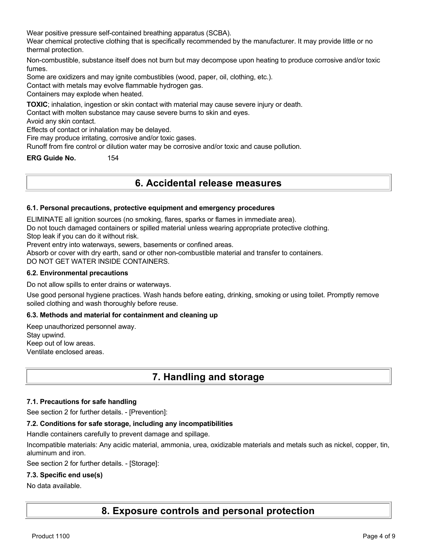Wear positive pressure self-contained breathing apparatus (SCBA).

Wear chemical protective clothing that is specifically recommended by the manufacturer. It may provide little or no thermal protection.

Non-combustible, substance itself does not burn but may decompose upon heating to produce corrosive and/or toxic fumes.

Some are oxidizers and may ignite combustibles (wood, paper, oil, clothing, etc.).

Contact with metals may evolve flammable hydrogen gas.

Containers may explode when heated.

**TOXIC**; inhalation, ingestion or skin contact with material may cause severe injury or death.

Contact with molten substance may cause severe burns to skin and eyes.

Avoid any skin contact.

Effects of contact or inhalation may be delayed.

Fire may produce irritating, corrosive and/or toxic gases.

Runoff from fire control or dilution water may be corrosive and/or toxic and cause pollution.

**ERG Guide No.** 154

## **6. Accidental release measures**

#### **6.1. Personal precautions, protective equipment and emergency procedures**

ELIMINATE all ignition sources (no smoking, flares, sparks or flames in immediate area).

Do not touch damaged containers or spilled material unless wearing appropriate protective clothing.

Stop leak if you can do it without risk.

Prevent entry into waterways, sewers, basements or confined areas.

Absorb or cover with dry earth, sand or other non-combustible material and transfer to containers.

DO NOT GET WATER INSIDE CONTAINERS.

#### **6.2. Environmental precautions**

Do not allow spills to enter drains or waterways.

Use good personal hygiene practices. Wash hands before eating, drinking, smoking or using toilet. Promptly remove soiled clothing and wash thoroughly before reuse.

#### **6.3. Methods and material for containment and cleaning up**

Keep unauthorized personnel away. Stay upwind. Keep out of low areas. Ventilate enclosed areas.

## **7. Handling and storage**

#### **7.1. Precautions for safe handling**

See section 2 for further details. - [Prevention]:

#### **7.2. Conditions for safe storage, including any incompatibilities**

Handle containers carefully to prevent damage and spillage.

Incompatible materials: Any acidic material, ammonia, urea, oxidizable materials and metals such as nickel, copper, tin, aluminum and iron.

See section 2 for further details. - [Storage]:

#### **7.3. Specific end use(s)**

#### No data available.

**8. Exposure controls and personal protection**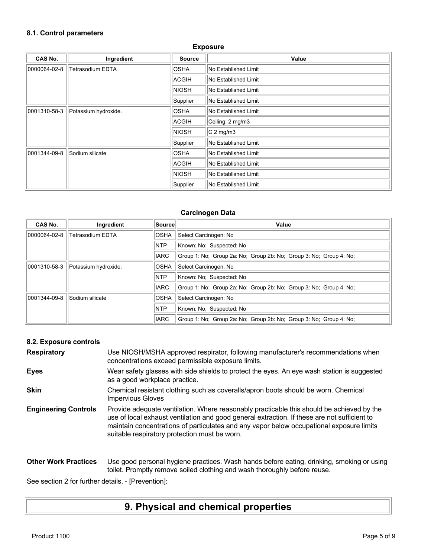### **8.1. Control parameters**

| CAS No.      | Ingredient              | <b>Source</b>    | Value                |
|--------------|-------------------------|------------------|----------------------|
| 0000064-02-8 | <b>Tetrasodium EDTA</b> | <b>OSHA</b>      | No Established Limit |
|              |                         | ACGIH            | No Established Limit |
|              |                         | <b>NIOSH</b>     | No Established Limit |
|              |                         | Supplier         | No Established Limit |
| 0001310-58-3 | Potassium hydroxide.    | <b>OSHA</b>      | No Established Limit |
|              | ACGIH                   | Ceiling: 2 mg/m3 |                      |
|              |                         | NIOSH            | $C_2$ mg/m3          |
|              |                         | Supplier         | No Established Limit |
| 0001344-09-8 | Sodium silicate         | <b>OSHA</b>      | No Established Limit |
|              |                         | ACGIH            | No Established Limit |
|              |                         | <b>NIOSH</b>     | No Established Limit |
|              |                         | Supplier         | No Established Limit |

**Exposure**

#### **Carcinogen Data**

| CAS No.      | Ingredient              | Source      | Value                                                              |
|--------------|-------------------------|-------------|--------------------------------------------------------------------|
| 0000064-02-8 | <b>Tetrasodium EDTA</b> | <b>OSHA</b> | Select Carcinogen: No                                              |
|              |                         | <b>NTP</b>  | Known: No: Suspected: No                                           |
|              |                         | <b>IARC</b> | Group 1: No: Group 2a: No: Group 2b: No: Group 3: No: Group 4: No: |
| 0001310-58-3 | Potassium hydroxide.    | <b>OSHA</b> | Select Carcinogen: No                                              |
|              |                         | <b>NTP</b>  | Known: No: Suspected: No                                           |
|              |                         | <b>IARC</b> | Group 1: No: Group 2a: No: Group 2b: No: Group 3: No: Group 4: No: |
| 0001344-09-8 | Sodium silicate         | OSHA        | Select Carcinogen: No                                              |
|              |                         | <b>NTP</b>  | Known: No: Suspected: No                                           |
|              |                         | <b>IARC</b> | Group 1: No: Group 2a: No: Group 2b: No: Group 3: No: Group 4: No: |

### **8.2. Exposure controls**

| <b>Respiratory</b>          | Use NIOSH/MSHA approved respirator, following manufacturer's recommendations when<br>concentrations exceed permissible exposure limits.                                                                                                                                                                                                |
|-----------------------------|----------------------------------------------------------------------------------------------------------------------------------------------------------------------------------------------------------------------------------------------------------------------------------------------------------------------------------------|
| <b>Eyes</b>                 | Wear safety glasses with side shields to protect the eyes. An eye wash station is suggested<br>as a good workplace practice.                                                                                                                                                                                                           |
| <b>Skin</b>                 | Chemical resistant clothing such as coveralls/apron boots should be worn. Chemical<br><b>Impervious Gloves</b>                                                                                                                                                                                                                         |
| <b>Engineering Controls</b> | Provide adequate ventilation. Where reasonably practicable this should be achieved by the<br>use of local exhaust ventilation and good general extraction. If these are not sufficient to<br>maintain concentrations of particulates and any vapor below occupational exposure limits<br>suitable respiratory protection must be worn. |
| <b>Other Work Practices</b> | Use good personal hygiene practices. Wash hands before eating, drinking, smoking or using<br>toilet. Promptly remove soiled clothing and wash thoroughly before reuse.                                                                                                                                                                 |

See section 2 for further details. - [Prevention]:

# **9. Physical and chemical properties**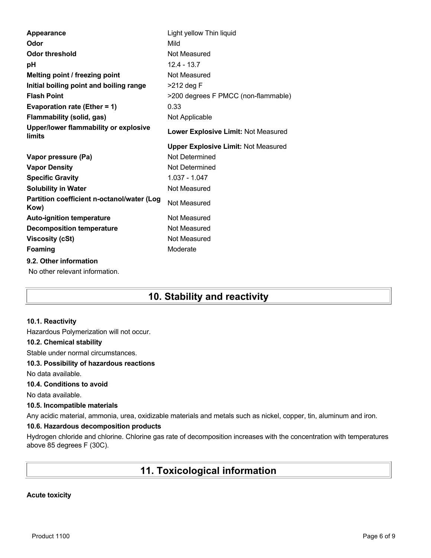| Light yellow Thin liquid                   |
|--------------------------------------------|
| Mild                                       |
| Not Measured                               |
| $12.4 - 13.7$                              |
| Not Measured                               |
| $>212$ deg F                               |
| >200 degrees F PMCC (non-flammable)        |
| 0.33                                       |
| Not Applicable                             |
| Lower Explosive Limit: Not Measured        |
| <b>Upper Explosive Limit: Not Measured</b> |
| Not Determined                             |
| Not Determined                             |
| 1.037 - 1.047                              |
| Not Measured                               |
| Not Measured                               |
| Not Measured                               |
| Not Measured                               |
| Not Measured                               |
|                                            |
| Moderate                                   |
|                                            |
|                                            |

# **10. Stability and reactivity**

#### **10.1. Reactivity**

Hazardous Polymerization will not occur.

#### **10.2. Chemical stability**

Stable under normal circumstances.

#### **10.3. Possibility of hazardous reactions**

No data available.

#### **10.4. Conditions to avoid**

No data available.

#### **10.5. Incompatible materials**

Any acidic material, ammonia, urea, oxidizable materials and metals such as nickel, copper, tin, aluminum and iron.

#### **10.6. Hazardous decomposition products**

Hydrogen chloride and chlorine. Chlorine gas rate of decomposition increases with the concentration with temperatures above 85 degrees F (30C).

# **11. Toxicological information**

#### **Acute toxicity**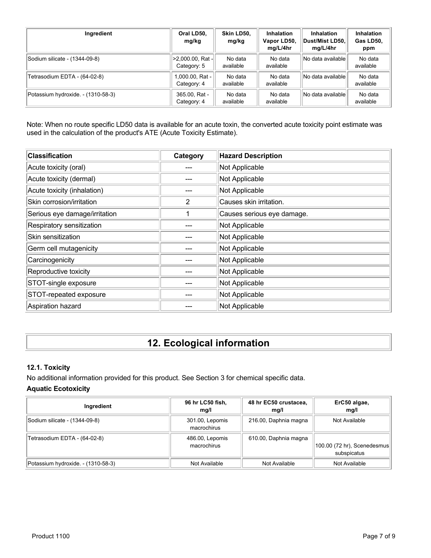| Ingredient                         | Oral LD50.<br>mg/kg                    | Skin LD50.<br>mg/kg  | <b>Inhalation</b><br>Vapor LD50,<br>mg/L/4hr | <b>Inhalation</b><br>Dust/Mist LD50.<br>mg/L/4hr | <b>Inhalation</b><br>Gas LD50,<br>ppm |
|------------------------------------|----------------------------------------|----------------------|----------------------------------------------|--------------------------------------------------|---------------------------------------|
| Sodium silicate - (1344-09-8)      | $  > 2,000.00, Rat -  $<br>Category: 5 | No data<br>available | No data<br>available                         | No data available                                | No data<br>available                  |
| Tetrasodium EDTA - (64-02-8)       | 1,000.00, Rat -<br>Category: 4         | No data<br>available | No data<br>available                         | No data available                                | No data<br>available                  |
| Potassium hydroxide. - (1310-58-3) | 365.00, Rat -<br>Category: 4           | No data<br>available | No data<br>available                         | No data available                                | No data<br>available                  |

Note: When no route specific LD50 data is available for an acute toxin, the converted acute toxicity point estimate was used in the calculation of the product's ATE (Acute Toxicity Estimate).

| <b>Classification</b>         | Category | <b>Hazard Description</b>  |
|-------------------------------|----------|----------------------------|
| Acute toxicity (oral)         |          | Not Applicable             |
| Acute toxicity (dermal)       |          | Not Applicable             |
| Acute toxicity (inhalation)   |          | Not Applicable             |
| Skin corrosion/irritation     | 2        | Causes skin irritation.    |
| Serious eye damage/irritation |          | Causes serious eye damage. |
| Respiratory sensitization     |          | Not Applicable             |
| Skin sensitization            |          | Not Applicable             |
| Germ cell mutagenicity        |          | Not Applicable             |
| Carcinogenicity               |          | Not Applicable             |
| Reproductive toxicity         |          | Not Applicable             |
| STOT-single exposure          |          | Not Applicable             |
| STOT-repeated exposure        |          | Not Applicable             |
| Aspiration hazard             |          | Not Applicable             |

# **12. Ecological information**

#### **12.1. Toxicity**

No additional information provided for this product. See Section 3 for chemical specific data.

### **Aquatic Ecotoxicity**

| Ingredient                         | 96 hr LC50 fish,<br>mq/l       | 48 hr EC50 crustacea,<br>mq/l | ErC50 algae,<br>mq/l                       |
|------------------------------------|--------------------------------|-------------------------------|--------------------------------------------|
| Sodium silicate - (1344-09-8)      | 301.00, Lepomis<br>macrochirus | 216.00, Daphnia magna         | Not Available                              |
| Tetrasodium EDTA - (64-02-8)       | 486.00, Lepomis<br>macrochirus | 610.00, Daphnia magna         | 100.00 (72 hr), Scenedesmus<br>subspicatus |
| Potassium hydroxide. - (1310-58-3) | Not Available                  | Not Available                 | Not Available                              |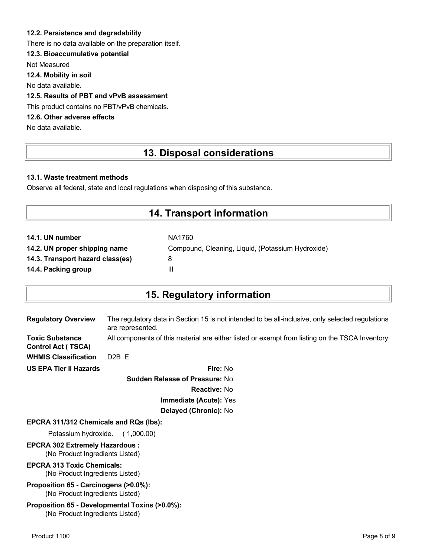#### **12.2. Persistence and degradability**

There is no data available on the preparation itself.

#### **12.3. Bioaccumulative potential**

Not Measured

**12.4. Mobility in soil**

No data available.

#### **12.5. Results of PBT and vPvB assessment**

This product contains no PBT/vPvB chemicals.

### **12.6. Other adverse effects**

No data available.

## **13. Disposal considerations**

#### **13.1. Waste treatment methods**

Observe all federal, state and local regulations when disposing of this substance.

### **14. Transport information**

| 14.1. UN number                  | NA1760                                            |
|----------------------------------|---------------------------------------------------|
| 14.2. UN proper shipping name    | Compound, Cleaning, Liquid, (Potassium Hydroxide) |
| 14.3. Transport hazard class(es) |                                                   |
| 14.4. Packing group              | Ш                                                 |

## **15. Regulatory information**

| <b>Regulatory Overview</b>                          | The regulatory data in Section 15 is not intended to be all-inclusive, only selected regulations<br>are represented. |
|-----------------------------------------------------|----------------------------------------------------------------------------------------------------------------------|
| <b>Toxic Substance</b><br><b>Control Act (TSCA)</b> | All components of this material are either listed or exempt from listing on the TSCA Inventory.                      |
| <b>WHMIS Classification</b>                         | $D2B$ F                                                                                                              |
| <b>US EPA Tier II Hazards</b>                       | Fire: No                                                                                                             |
|                                                     | <b>Sudden Release of Pressure: No</b>                                                                                |

**Reactive:** No **Immediate (Acute):** Yes

# **Delayed (Chronic):** No

#### **EPCRA 311/312 Chemicals and RQs (lbs):**

Potassium hydroxide. ( 1,000.00)

#### **EPCRA 302 Extremely Hazardous :** (No Product Ingredients Listed)

#### **EPCRA 313 Toxic Chemicals:** (No Product Ingredients Listed)

#### **Proposition 65 - Carcinogens (>0.0%):** (No Product Ingredients Listed)

#### **Proposition 65 - Developmental Toxins (>0.0%):** (No Product Ingredients Listed)